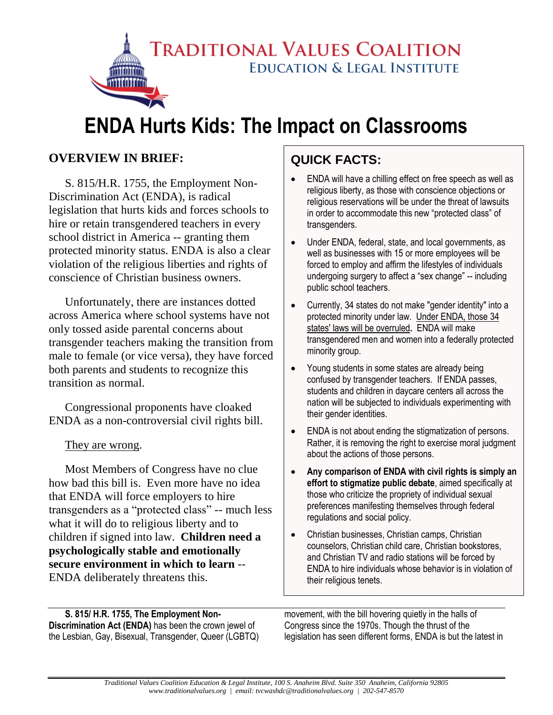**TRADITIONAL VALUES COALITION EDUCATION & LEGAL INSTITUTE** 

# **ENDA Hurts Kids: The Impact on Classrooms**

## **OVERVIEW IN BRIEF:**

S. 815/H.R. 1755, the Employment Non-Discrimination Act (ENDA), is radical legislation that hurts kids and forces schools to hire or retain transgendered teachers in every school district in America -- granting them protected minority status. ENDA is also a clear violation of the religious liberties and rights of conscience of Christian business owners.

Unfortunately, there are instances dotted across America where school systems have not only tossed aside parental concerns about transgender teachers making the transition from male to female (or vice versa), they have forced both parents and students to recognize this transition as normal.

Congressional proponents have cloaked ENDA as a non-controversial civil rights bill.

#### They are wrong.

Most Members of Congress have no clue how bad this bill is. Even more have no idea that ENDA will force employers to hire transgenders as a "protected class" -- much less what it will do to religious liberty and to children if signed into law. **Children need a psychologically stable and emotionally secure environment in which to learn** -- ENDA deliberately threatens this.

## **QUICK FACTS:**

- ENDA will have a chilling effect on free speech as well as religious liberty, as those with conscience objections or religious reservations will be under the threat of lawsuits in order to accommodate this new "protected class" of transgenders.
- Under ENDA, federal, state, and local governments, as well as businesses with 15 or more employees will be forced to employ and affirm the lifestyles of individuals undergoing surgery to affect a "sex change" -- including public school teachers.
- Currently, 34 states do not make "gender identity" into a protected minority under law. Under ENDA, those 34 states' laws will be overruled**.** ENDA will make transgendered men and women into a federally protected minority group.
- Young students in some states are already being confused by transgender teachers. If ENDA passes, students and children in daycare centers all across the nation will be subjected to individuals experimenting with their gender identities.
- ENDA is not about ending the stigmatization of persons. Rather, it is removing the right to exercise moral judgment about the actions of those persons.
- **Any comparison of ENDA with civil rights is simply an effort to stigmatize public debate**, aimed specifically at those who criticize the propriety of individual sexual preferences manifesting themselves through federal regulations and social policy.
- Christian businesses, Christian camps, Christian counselors, Christian child care, Christian bookstores, and Christian TV and radio stations will be forced by ENDA to hire individuals whose behavior is in violation of their religious tenets.

**S. 815/ H.R. 1755, The Employment Non-Discrimination Act (ENDA)** has been the crown jewel of the Lesbian, Gay, Bisexual, Transgender, Queer (LGBTQ) movement, with the bill hovering quietly in the halls of Congress since the 1970s. Though the thrust of the legislation has seen different forms, ENDA is but the latest in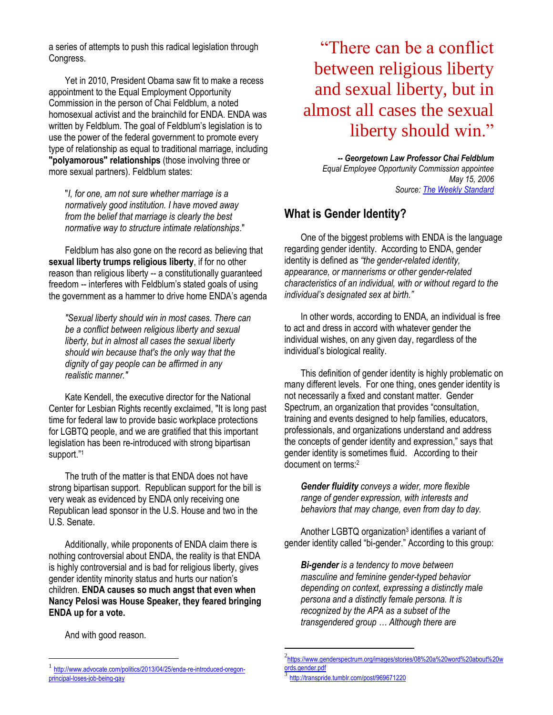a series of attempts to push this radical legislation through Congress.

Yet in 2010, President Obama saw fit to make a recess appointment to the Equal Employment Opportunity Commission in the person of Chai Feldblum, a noted homosexual activist and the brainchild for ENDA. ENDA was written by Feldblum. The goal of Feldblum's legislation is to use the power of the federal government to promote every type of relationship as equal to traditional marriage, including **"polyamorous" relationships** (those involving three or more sexual partners). Feldblum states:

"*I, for one, am not sure whether marriage is a normatively good institution. I have moved away from the belief that marriage is clearly the best normative way to structure intimate relationships*."

Feldblum has also gone on the record as believing that **sexual liberty trumps religious liberty**, if for no other reason than religious liberty -- a constitutionally guaranteed freedom -- interferes with Feldblum's stated goals of using the government as a hammer to drive home ENDA's agenda

*"Sexual liberty should win in most cases. There can be a conflict between religious liberty and sexual liberty, but in almost all cases the sexual liberty should win because that's the only way that the dignity of gay people can be affirmed in any realistic manner."*

Kate Kendell, the executive director for the National Center for Lesbian Rights recently exclaimed, "It is long past time for federal law to provide basic workplace protections for LGBTQ people, and we are gratified that this important legislation has been re-introduced with strong bipartisan support."<sup>1</sup>

The truth of the matter is that ENDA does not have strong bipartisan support. Republican support for the bill is very weak as evidenced by ENDA only receiving one Republican lead sponsor in the U.S. House and two in the U.S. Senate.

Additionally, while proponents of ENDA claim there is nothing controversial about ENDA, the reality is that ENDA is highly controversial and is bad for religious liberty, gives gender identity minority status and hurts our nation's children. **ENDA causes so much angst that even when Nancy Pelosi was House Speaker, they feared bringing ENDA up for a vote.**

"There can be a conflict between religious liberty and sexual liberty, but in almost all cases the sexual liberty should win."

> *-- Georgetown Law Professor Chai Feldblum Equal Employee Opportunity Commission appointee May 15, 2006 Source: [The Weekly Standard](http://www.weeklystandard.com/Content/Public/Articles/000/000/012/191kgwgh.asp?pg=2)*

#### **What is Gender Identity?**

One of the biggest problems with ENDA is the language regarding gender identity. According to ENDA, gender identity is defined as *"the gender-related identity, appearance, or mannerisms or other gender-related characteristics of an individual, with or without regard to the individual's designated sex at birth."* 

In other words, according to ENDA, an individual is free to act and dress in accord with whatever gender the individual wishes, on any given day, regardless of the individual's biological reality.

This definition of gender identity is highly problematic on many different levels. For one thing, ones gender identity is not necessarily a fixed and constant matter. Gender Spectrum, an organization that provides "consultation, training and events designed to help families, educators, professionals, and organizations understand and address the concepts of gender identity and expression," says that gender identity is sometimes fluid. According to their document on terms:<sup>2</sup>

*Gender fluidity conveys a wider, more flexible range of gender expression, with interests and behaviors that may change, even from day to day.* 

Another LGBTQ organization<sup>3</sup> identifies a variant of gender identity called "bi-gender." According to this group:

*Bi-gender is a tendency to move between masculine and feminine gender-typed behavior depending on context, expressing a distinctly male persona and a distinctly female persona. It is recognized by the APA as a subset of the transgendered group … Although there are* 

And with good reason.

 $\overline{a}$ 

 $\overline{a}$ 

<sup>1</sup> [http://www.advocate.com/politics/2013/04/25/enda-re-introduced-oregon](http://www.advocate.com/politics/2013/04/25/enda-re-introduced-oregon-principal-loses-job-being-gay)[principal-loses-job-being-gay](http://www.advocate.com/politics/2013/04/25/enda-re-introduced-oregon-principal-loses-job-being-gay)

<sup>2</sup> [https://www.genderspectrum.org/images/stories/08%20a%20word%20about%20w](https://www.genderspectrum.org/images/stories/08%20a%20word%20about%20words.gender.pdf) [ords.gender.pdf](https://www.genderspectrum.org/images/stories/08%20a%20word%20about%20words.gender.pdf)

<sup>3</sup> <http://transpride.tumblr.com/post/969671220>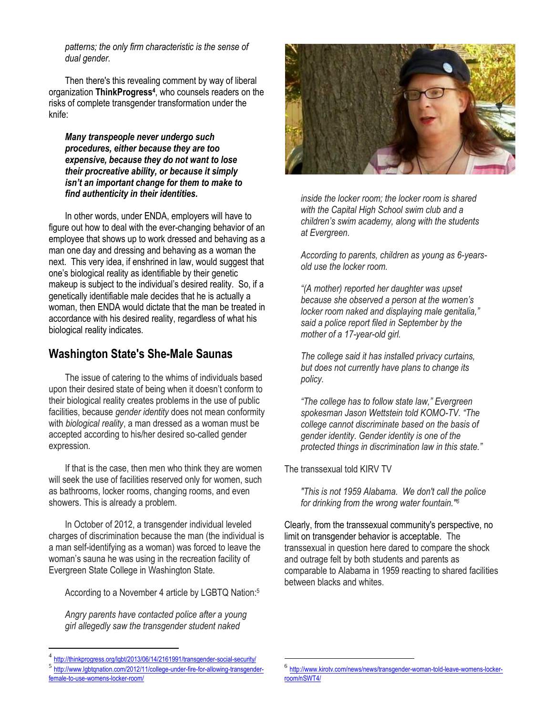*patterns; the only firm characteristic is the sense of dual gender.*

Then there's this revealing comment by way of liberal organization **ThinkProgress<sup>4</sup>** , who counsels readers on the risks of complete transgender transformation under the knife:

*Many transpeople never undergo such procedures, either because they are too expensive, because they do not want to lose their procreative ability, or because it simply isn't an important change for them to make to find authenticity in their identities.* 

In other words, under ENDA, employers will have to figure out how to deal with the ever-changing behavior of an employee that shows up to work dressed and behaving as a man one day and dressing and behaving as a woman the next. This very idea, if enshrined in law, would suggest that one's biological reality as identifiable by their genetic makeup is subject to the individual's desired reality. So, if a genetically identifiable male decides that he is actually a woman, then ENDA would dictate that the man be treated in accordance with his desired reality, regardless of what his biological reality indicates.

#### **Washington State's She-Male Saunas**

The issue of catering to the whims of individuals based upon their desired state of being when it doesn't conform to their biological reality creates problems in the use of public facilities, because *gender identity* does not mean conformity with *biological reality*, a man dressed as a woman must be accepted according to his/her desired so-called gender expression.

If that is the case, then men who think they are women will seek the use of facilities reserved only for women, such as bathrooms, locker rooms, changing rooms, and even showers. This is already a problem.

In October of 2012, a transgender individual leveled charges of discrimination because the man (the individual is a man self-identifying as a woman) was forced to leave the woman's sauna he was using in the recreation facility of Evergreen State College in Washington State.

According to a November 4 article by LGBTQ Nation:<sup>5</sup>

*Angry parents have contacted police after a young girl allegedly saw the transgender student naked* 

 $\overline{a}$ 





*inside the locker room; the locker room is shared with the Capital High School swim club and a children's swim academy, along with the students at Evergreen.*

*According to parents, children as young as 6-yearsold use the locker room.*

*"(A mother) reported her daughter was upset because she observed a person at the women's locker room naked and displaying male genitalia," said a police report filed in September by the mother of a 17-year-old girl.*

*The college said it has installed privacy curtains, but does not currently have plans to change its policy.*

*"The college has to follow state law," Evergreen spokesman Jason Wettstein told KOMO-TV. "The college cannot discriminate based on the basis of gender identity. Gender identity is one of the protected things in discrimination law in this state."*

The transsexual told KIRV TV

 $\overline{a}$ 

*"This is not 1959 Alabama. We don't call the police for drinking from the wrong water fountain."<sup>6</sup>*

Clearly, from the transsexual community's perspective, no limit on transgender behavior is acceptable. The transsexual in question here dared to compare the shock and outrage felt by both students and parents as comparable to Alabama in 1959 reacting to shared facilities between blacks and whites.

<sup>4</sup> <http://thinkprogress.org/lgbt/2013/06/14/2161991/transgender-social-security/>

<sup>6</sup> [http://www.kirotv.com/news/news/transgender-woman-told-leave-womens-locker](http://www.kirotv.com/news/news/transgender-woman-told-leave-womens-locker-room/nSWT4/)[room/nSWT4/](http://www.kirotv.com/news/news/transgender-woman-told-leave-womens-locker-room/nSWT4/)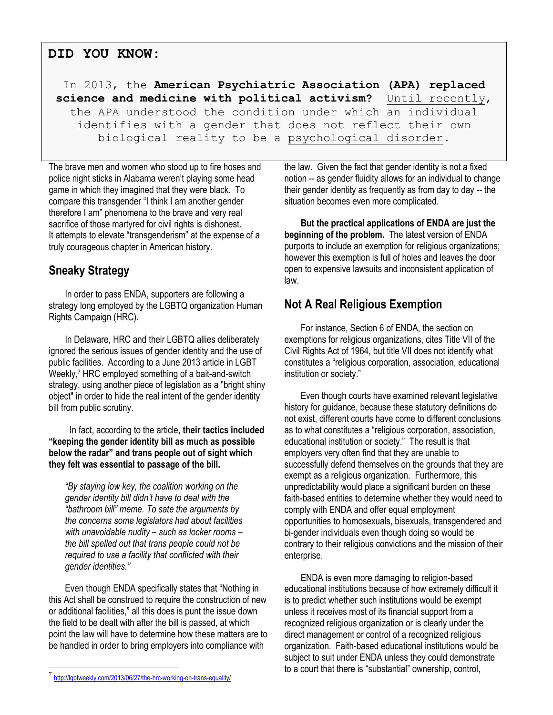#### **DID YOU KNOW:**

In 2013, the **American Psychiatric Association (APA) replaced science and medicine with political activism?** Until recently, the APA understood the condition under which an individual identifies with a gender that does not reflect their own biological reality to be a psychological disorder.

The brave men and women who stood up to fire hoses and police night sticks in Alabama weren't playing some head game in which they imagined that they were black. To compare this transgender "I think I am another gender therefore I am" phenomena to the brave and very real sacrifice of those martyred for civil rights is dishonest. It attempts to elevate "transgenderism" at the expense of a truly courageous chapter in American history.

### **Sneaky Strategy**

In order to pass ENDA, supporters are following a strategy long employed by the LGBTQ organization Human Rights Campaign (HRC).

In Delaware, HRC and their LGBTQ allies deliberately ignored the serious issues of gender identity and the use of public facilities. According to a June 2013 article in LGBT Weekly,<sup>7</sup> HRC employed something of a bait-and-switch strategy, using another piece of legislation as a "bright shiny object" in order to hide the real intent of the gender identity bill from public scrutiny.

 In fact, according to the article, **their tactics included "keeping the gender identity bill as much as possible below the radar" and trans people out of sight which they felt was essential to passage of the bill.**

*"By staying low key, the coalition working on the gender identity bill didn't have to deal with the "bathroom bill" meme. To sate the arguments by the concerns some legislators had about facilities with unavoidable nudity – such as locker rooms – the bill spelled out that trans people could not be required to use a facility that conflicted with their gender identities."*

Even though ENDA specifically states that "Nothing in this Act shall be construed to require the construction of new or additional facilities," all this does is punt the issue down the field to be dealt with after the bill is passed, at which point the law will have to determine how these matters are to be handled in order to bring employers into compliance with

 $\overline{a}$ 

the law. Given the fact that gender identity is not a fixed notion -- as gender fluidity allows for an individual to change their gender identity as frequently as from day to day -- the situation becomes even more complicated.

**But the practical applications of ENDA are just the beginning of the problem.** The latest version of ENDA purports to include an exemption for religious organizations; however this exemption is full of holes and leaves the door open to expensive lawsuits and inconsistent application of law.

#### **Not A Real Religious Exemption**

For instance, Section 6 of ENDA, the section on exemptions for religious organizations, cites Title VII of the Civil Rights Act of 1964, but title VII does not identify what constitutes a "religious corporation, association, educational institution or society."

Even though courts have examined relevant legislative history for guidance, because these statutory definitions do not exist, different courts have come to different conclusions as to what constitutes a "religious corporation, association, educational institution or society." The result is that employers very often find that they are unable to successfully defend themselves on the grounds that they are exempt as a religious organization. Furthermore, this unpredictability would place a significant burden on these faith-based entities to determine whether they would need to comply with ENDA and offer equal employment opportunities to homosexuals, bisexuals, transgendered and bi-gender individuals even though doing so would be contrary to their religious convictions and the mission of their enterprise.

ENDA is even more damaging to religion-based educational institutions because of how extremely difficult it is to predict whether such institutions would be exempt unless it receives most of its financial support from a recognized religious organization or is clearly under the direct management or control of a recognized religious organization. Faith-based educational institutions would be subject to suit under ENDA unless they could demonstrate to a court that there is "substantial" ownership, control,

<sup>7</sup> <http://lgbtweekly.com/2013/06/27/the-hrc-working-on-trans-equality/>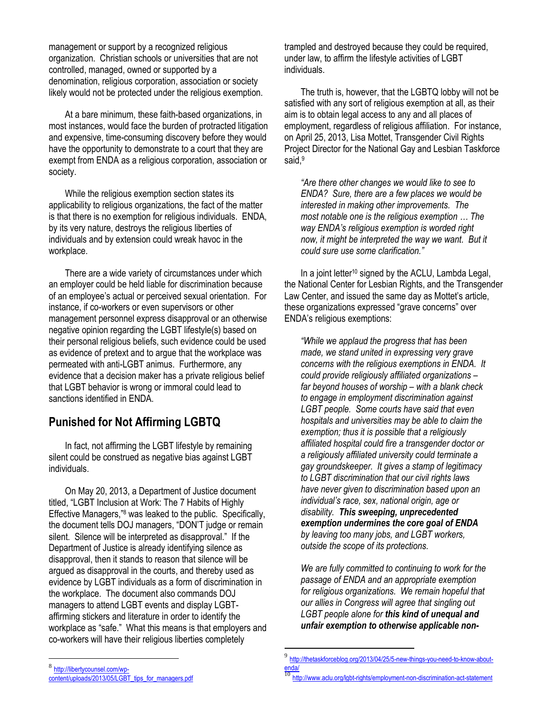management or support by a recognized religious organization. Christian schools or universities that are not controlled, managed, owned or supported by a denomination, religious corporation, association or society likely would not be protected under the religious exemption.

At a bare minimum, these faith-based organizations, in most instances, would face the burden of protracted litigation and expensive, time-consuming discovery before they would have the opportunity to demonstrate to a court that they are exempt from ENDA as a religious corporation, association or society.

While the religious exemption section states its applicability to religious organizations, the fact of the matter is that there is no exemption for religious individuals. ENDA, by its very nature, destroys the religious liberties of individuals and by extension could wreak havoc in the workplace.

There are a wide variety of circumstances under which an employer could be held liable for discrimination because of an employee's actual or perceived sexual orientation. For instance, if co-workers or even supervisors or other management personnel express disapproval or an otherwise negative opinion regarding the LGBT lifestyle(s) based on their personal religious beliefs, such evidence could be used as evidence of pretext and to argue that the workplace was permeated with anti-LGBT animus. Furthermore, any evidence that a decision maker has a private religious belief that LGBT behavior is wrong or immoral could lead to sanctions identified in ENDA.

#### **Punished for Not Affirming LGBTQ**

In fact, not affirming the LGBT lifestyle by remaining silent could be construed as negative bias against LGBT individuals.

On May 20, 2013, a Department of Justice document titled, "LGBT Inclusion at Work: The 7 Habits of Highly Effective Managers,"<sup>8</sup> was leaked to the public. Specifically, the document tells DOJ managers, "DON'T judge or remain silent. Silence will be interpreted as disapproval." If the Department of Justice is already identifying silence as disapproval, then it stands to reason that silence will be argued as disapproval in the courts, and thereby used as evidence by LGBT individuals as a form of discrimination in the workplace. The document also commands DOJ managers to attend LGBT events and display LGBTaffirming stickers and literature in order to identify the workplace as "safe." What this means is that employers and co-workers will have their religious liberties completely

trampled and destroyed because they could be required, under law, to affirm the lifestyle activities of LGBT individuals.

The truth is, however, that the LGBTQ lobby will not be satisfied with any sort of religious exemption at all, as their aim is to obtain legal access to any and all places of employment, regardless of religious affiliation. For instance, on April 25, 2013, Lisa Mottet, Transgender Civil Rights Project Director for the National Gay and Lesbian Taskforce said.<sup>9</sup>

*"Are there other changes we would like to see to ENDA? Sure, there are a few places we would be interested in making other improvements. The most notable one is the religious exemption … The way ENDA's religious exemption is worded right now, it might be interpreted the way we want. But it could sure use some clarification."* 

In a joint letter<sup>10</sup> signed by the ACLU, Lambda Legal, the National Center for Lesbian Rights, and the Transgender Law Center, and issued the same day as Mottet's article, these organizations expressed "grave concerns" over ENDA's religious exemptions:

*"While we applaud the progress that has been made, we stand united in expressing very grave concerns with the religious exemptions in ENDA. It could provide religiously affiliated organizations – far beyond houses of worship – with a blank check to engage in employment discrimination against LGBT people. Some courts have said that even hospitals and universities may be able to claim the exemption; thus it is possible that a religiously affiliated hospital could fire a transgender doctor or a religiously affiliated university could terminate a gay groundskeeper. It gives a stamp of legitimacy to LGBT discrimination that our civil rights laws have never given to discrimination based upon an individual's race, sex, national origin, age or disability. This sweeping, unprecedented exemption undermines the core goal of ENDA by leaving too many jobs, and LGBT workers, outside the scope of its protections.*

*We are fully committed to continuing to work for the passage of ENDA and an appropriate exemption for religious organizations. We remain hopeful that our allies in Congress will agree that singling out LGBT people alone for this kind of unequal and unfair exemption to otherwise applicable non-*

 $\overline{a}$ 8

 9 [http://thetaskforceblog.org/2013/04/25/5-new-things-you-need-to-know-about-](http://thetaskforceblog.org/2013/04/25/5-new-things-you-need-to-know-about-enda/) $\frac{\text{enda}}{10}$ 

[http://libertycounsel.com/wp](http://libertycounsel.com/wp-content/uploads/2013/05/LGBT_tips_for_managers.pdf)[content/uploads/2013/05/LGBT\\_tips\\_for\\_managers.pdf](http://libertycounsel.com/wp-content/uploads/2013/05/LGBT_tips_for_managers.pdf)

<http://www.aclu.org/lgbt-rights/employment-non-discrimination-act-statement>